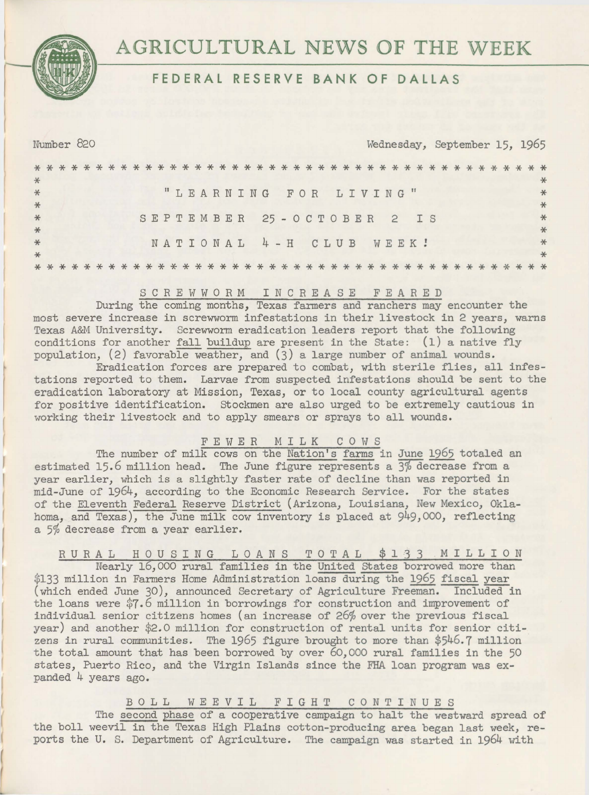**AGRICULTURAL** NEWS **OF THE** WEEK

# **FEDERAL RESERVE BANK OF DALLAS**

| Number 820                               | Wednesday, September 15, 1965 |
|------------------------------------------|-------------------------------|
| $*$                                      |                               |
| "LEARNING FOR LIVING"<br>$*$<br>$*$      |                               |
| $*$<br>SEPTEMBER 25-OCTOBER 2 IS<br>$*$  |                               |
| NATIONAL 4-H CLUB WEEK!<br>$*$<br>$\ast$ |                               |
|                                          |                               |

# SCREWWORM INCREASE FEARED

During the coming months, Texas farmers and ranchers may encounter the most severe increase in screwworm infestations in their livestock in 2 years, warns Texas A&M University. Screwworm eradication leaders report that the following conditions for another fall buildup are present in the State: (1) a native fly population, (2) favorable weather, and (3) a large number of animal wounds.

Eradication forces are prepared to combat, with sterile flies, all infestations reported to them. Larvae from suspected infestations should be sent to the eradication laboratory at Mission, Texas, or to local county agricultural agents for positive identification. stockmen are also urged to be extremely cautious in working their livestock and to apply smears or sprays to all wounds.

#### FEWER MILK c 0 w s

The number of milk cows on the Nation's farms in June 1965 totaled an estimated 15.6 million head. The June figure represents a  $\frac{3}{6}$  decrease from a year earlier, which is a slightly faster rate of decline than was reported in mid-June of 1964, according to the Economic Research Service. For the states of the Eleventh Federal Reserve District (Arizona, Louisiana, New Mexico, Oklahoma, and Texas), the June milk cow inventory is placed at 949,000, reflecting a 5% decrease from a year earlier.

RURAL HOUSING LOANS TOTAL \$133 MILLION

Nearly 16,000 rural families in the United States borrowed more than \$133 million in Farmers Home Administration loans during the 1965 fiscal year (which ended June 30), announced Secretary of Agriculture Freemari. Included in the loans were \$7.6 million in borrowings for construction and improvement of individual senior citizens homes (an increase of 26% over the previous fiscal year) and another \$2.0 million for construction of rental units for senior citizens in rural communities. The 1965 figure brought to more than \$546.7 million the total amount that has been borrowed by over 60,000 rural families in the 50 states, Puerto Rico, and the Virgin Islands since the FHA loan program was expanded 4 years ago.

# B 0 LL WEEVIL FIGHT C 0 N T I N U E S

The second phase of a cooperative campaign to halt the westward spread of the boll weevil in the Texas High Plains cotton-producing area began last week, reports the U. S. Department of Agriculture. The campaign was started in 1964 with